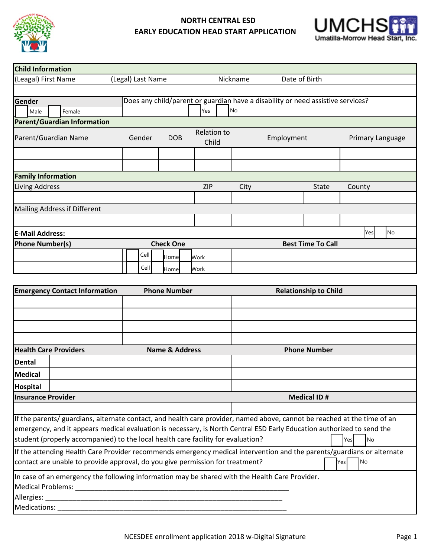

## **NORTH CENTRAL ESD EARLY EDUCATION HEAD START APPLICATION**



| <b>Child Information</b>                   |                   |            |                          |                             |                                                                                 |               |                  |  |  |
|--------------------------------------------|-------------------|------------|--------------------------|-----------------------------|---------------------------------------------------------------------------------|---------------|------------------|--|--|
| (Leagal) First Name                        | (Legal) Last Name |            |                          | Nickname                    |                                                                                 | Date of Birth |                  |  |  |
|                                            |                   |            |                          |                             |                                                                                 |               |                  |  |  |
| Gender                                     |                   |            |                          |                             | Does any child/parent or guardian have a disability or need assistive services? |               |                  |  |  |
| Male<br>Female                             |                   | No<br>Yes  |                          |                             |                                                                                 |               |                  |  |  |
| <b>Parent/Guardian Information</b>         |                   |            |                          |                             |                                                                                 |               |                  |  |  |
| Parent/Guardian Name                       | Gender            | <b>DOB</b> |                          | <b>Relation to</b><br>Child |                                                                                 | Employment    | Primary Language |  |  |
|                                            |                   |            |                          |                             |                                                                                 |               |                  |  |  |
|                                            |                   |            |                          |                             |                                                                                 |               |                  |  |  |
| <b>Family Information</b>                  |                   |            |                          |                             |                                                                                 |               |                  |  |  |
| <b>Living Address</b>                      |                   |            | <b>ZIP</b>               | City                        |                                                                                 | <b>State</b>  | County           |  |  |
|                                            |                   |            |                          |                             |                                                                                 |               |                  |  |  |
| Mailing Address if Different               |                   |            |                          |                             |                                                                                 |               |                  |  |  |
|                                            |                   |            |                          |                             |                                                                                 |               |                  |  |  |
| <b>E-Mail Address:</b>                     |                   |            |                          |                             |                                                                                 |               | <b>No</b><br>Yes |  |  |
| <b>Check One</b><br><b>Phone Number(s)</b> |                   |            | <b>Best Time To Call</b> |                             |                                                                                 |               |                  |  |  |
|                                            | Cell              | Homel      | Work                     |                             |                                                                                 |               |                  |  |  |
|                                            | Cell              | Home       | Work                     |                             |                                                                                 |               |                  |  |  |

| <b>Emergency Contact Information</b>                                                                                     | <b>Phone Number</b>                                                              | <b>Relationship to Child</b> |  |  |  |  |  |
|--------------------------------------------------------------------------------------------------------------------------|----------------------------------------------------------------------------------|------------------------------|--|--|--|--|--|
|                                                                                                                          |                                                                                  |                              |  |  |  |  |  |
|                                                                                                                          |                                                                                  |                              |  |  |  |  |  |
|                                                                                                                          |                                                                                  |                              |  |  |  |  |  |
|                                                                                                                          |                                                                                  |                              |  |  |  |  |  |
| <b>Health Care Providers</b>                                                                                             | Name & Address                                                                   | <b>Phone Number</b>          |  |  |  |  |  |
| Dental                                                                                                                   |                                                                                  |                              |  |  |  |  |  |
| <b>Medical</b>                                                                                                           |                                                                                  |                              |  |  |  |  |  |
| <b>Hospital</b>                                                                                                          |                                                                                  |                              |  |  |  |  |  |
| <b>Insurance Provider</b>                                                                                                |                                                                                  | <b>Medical ID#</b>           |  |  |  |  |  |
|                                                                                                                          |                                                                                  |                              |  |  |  |  |  |
| If the parents/ guardians, alternate contact, and health care provider, named above, cannot be reached at the time of an |                                                                                  |                              |  |  |  |  |  |
| emergency, and it appears medical evaluation is necessary, is North Central ESD Early Education authorized to send the   |                                                                                  |                              |  |  |  |  |  |
|                                                                                                                          | student (properly accompanied) to the local health care facility for evaluation? | lNo<br>Yesl                  |  |  |  |  |  |
| If the attending Health Care Provider recommends emergency medical intervention and the parents/guardians or alternate   |                                                                                  |                              |  |  |  |  |  |
| contact are unable to provide approval, do you give permission for treatment?<br><b>INo</b><br><b>Yes</b>                |                                                                                  |                              |  |  |  |  |  |
| In case of an emergency the following information may be shared with the Health Care Provider.                           |                                                                                  |                              |  |  |  |  |  |
|                                                                                                                          |                                                                                  |                              |  |  |  |  |  |
|                                                                                                                          |                                                                                  |                              |  |  |  |  |  |
| Medications:                                                                                                             |                                                                                  |                              |  |  |  |  |  |